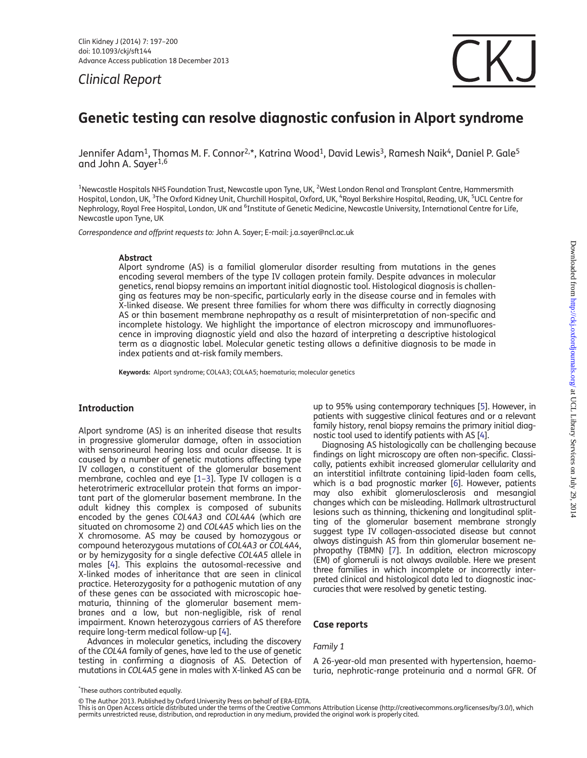Clinical Report



# Genetic testing can resolve diagnostic confusion in Alport syndrome

Jennifer Adam<sup>1</sup>, Thomas M. F. Connor<sup>2,\*</sup>, Katrina Wood<sup>1</sup>, David Lewis<sup>3</sup>, Ramesh Naik<sup>4</sup>, Daniel P. Gale<sup>5</sup> and John A. Sayer1,6

 $^{\rm 1}$ Newcastle Hospitals NHS Foundation Trust, Newcastle upon Tyne, UK,  $^2$ West London Renal and Transplant Centre, Hammersmith Hospital, London, UK, <sup>3</sup>The Oxford Kidney Unit, Churchill Hospital, Oxford, UK, <sup>4</sup>Royal Berkshire Hospital, Reading, UK, <sup>5</sup>UCL Centre for Nephrology, Royal Free Hospital, London, UK and <sup>6</sup>Institute of Genetic Medicine, Newcastle University, International Centre for Life, Newcastle upon Tyne, UK

Correspondence and offprint requests to: John A. Sayer; E-mail: j.a.sayer@ncl.ac.uk

### Abstract

Alport syndrome (AS) is a familial glomerular disorder resulting from mutations in the genes encoding several members of the type IV collagen protein family. Despite advances in molecular genetics, renal biopsy remains an important initial diagnostic tool. Histological diagnosis is challenging as features may be non-specific, particularly early in the disease course and in females with X-linked disease. We present three families for whom there was difficulty in correctly diagnosing AS or thin basement membrane nephropathy as a result of misinterpretation of non-specific and incomplete histology. We highlight the importance of electron microscopy and immunofluorescence in improving diagnostic yield and also the hazard of interpreting a descriptive histological term as a diagnostic label. Molecular genetic testing allows a definitive diagnosis to be made in index patients and at-risk family members.

Keywords: Alport syndrome; COL4A3; COL4A5; haematuria; molecular genetics

# Introduction

Alport syndrome (AS) is an inherited disease that results in progressive glomerular damage, often in association with sensorineural hearing loss and ocular disease. It is caused by a number of genetic mutations affecting type IV collagen, a constituent of the glomerular basement membrane, cochlea and eye [\[1](#page-3-0)–[3](#page-3-0)]. Type IV collagen is a heterotrimeric extracellular protein that forms an important part of the glomerular basement membrane. In the adult kidney this complex is composed of subunits encoded by the genes COL4A3 and COL4A4 (which are situated on chromosome 2) and COL4A5 which lies on the X chromosome. AS may be caused by homozygous or compound heterozygous mutations of COL4A3 or COL4A4, or by hemizygosity for a single defective COL4A5 allele in males [\[4](#page-3-0)]. This explains the autosomal-recessive and X-linked modes of inheritance that are seen in clinical practice. Heterozygosity for a pathogenic mutation of any of these genes can be associated with microscopic haematuria, thinning of the glomerular basement membranes and a low, but non-negligible, risk of renal impairment. Known heterozygous carriers of AS therefore require long-term medical follow-up [\[4](#page-3-0)].

Advances in molecular genetics, including the discovery of the COL4A family of genes, have led to the use of genetic testing in confirming a diagnosis of AS. Detection of mutations in COL4A5 gene in males with X-linked AS can be up to 95% using contemporary techniques [\[5](#page-3-0)]. However, in patients with suggestive clinical features and or a relevant family history, renal biopsy remains the primary initial diagnostic tool used to identify patients with AS [[4\]](#page-3-0).

Diagnosing AS histologically can be challenging because findings on light microscopy are often non-specific. Classically, patients exhibit increased glomerular cellularity and an interstitial infiltrate containing lipid-laden foam cells, which is a bad prognostic marker [\[6](#page-3-0)]. However, patients may also exhibit glomerulosclerosis and mesangial changes which can be misleading. Hallmark ultrastructural lesions such as thinning, thickening and longitudinal splitting of the glomerular basement membrane strongly suggest type IV collagen-associated disease but cannot always distinguish AS from thin glomerular basement nephropathy (TBMN) [[7\]](#page-3-0). In addition, electron microscopy (EM) of glomeruli is not always available. Here we present three families in which incomplete or incorrectly interpreted clinical and histological data led to diagnostic inaccuracies that were resolved by genetic testing.

## Case reports

# Family 1

A 26-year-old man presented with hypertension, haematuria, nephrotic-range proteinuria and a normal GFR. Of

<sup>\*</sup> These authors contributed equally.

<sup>©</sup> The Author 2013. Published by Oxford University Press on behalf of ERA-EDTA.

This is an Open Access article distributed under the terms of the Creative Commons Attribution License (http://creativecommons.org/licenses/by/3.0/), which permits unrestricted reuse, distribution, and reproduction in any medium, provided the original work is properly cited.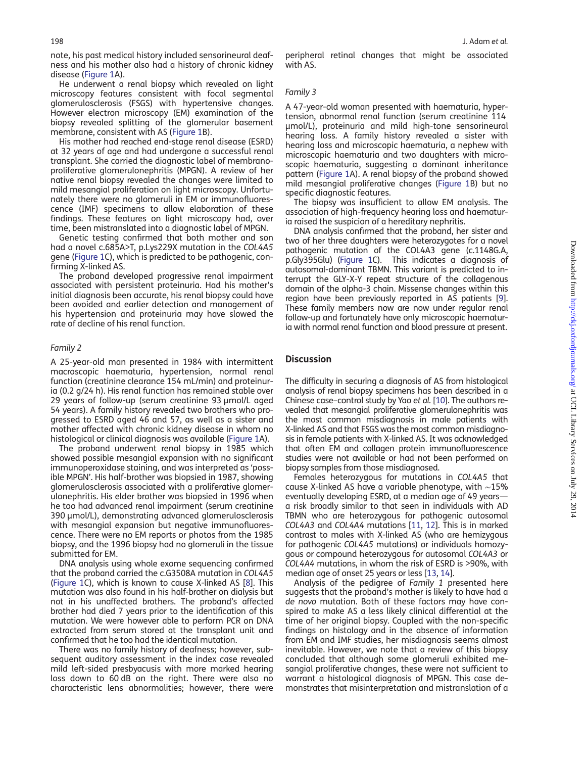note, his past medical history included sensorineural deafness and his mother also had a history of chronic kidney disease ([Figure 1A](#page-2-0)).

He underwent a renal biopsy which revealed on light microscopy features consistent with focal segmental glomerulosclerosis (FSGS) with hypertensive changes. However electron microscopy (EM) examination of the biopsy revealed splitting of the glomerular basement membrane, consistent with AS ([Figure 1](#page-2-0)B).

His mother had reached end-stage renal disease (ESRD) at 32 years of age and had undergone a successful renal transplant. She carried the diagnostic label of membranoproliferative glomerulonephritis (MPGN). A review of her native renal biopsy revealed the changes were limited to mild mesangial proliferation on light microscopy. Unfortunately there were no glomeruli in EM or immunofluorescence (IMF) specimens to allow elaboration of these findings. These features on light microscopy had, over time, been mistranslated into a diagnostic label of MPGN.

Genetic testing confirmed that both mother and son had a novel c.685A>T, p.Lys229X mutation in the COL4A5 gene ([Figure 1](#page-2-0)C), which is predicted to be pathogenic, confirming X-linked AS.

The proband developed progressive renal impairment associated with persistent proteinuria. Had his mother's initial diagnosis been accurate, his renal biopsy could have been avoided and earlier detection and management of his hypertension and proteinuria may have slowed the rate of decline of his renal function.

#### Family 2

A 25-year-old man presented in 1984 with intermittent macroscopic haematuria, hypertension, normal renal function (creatinine clearance 154 mL/min) and proteinuria (0.2 g/24 h). His renal function has remained stable over 29 years of follow-up (serum creatinine 93 µmol/L aged 54 years). A family history revealed two brothers who progressed to ESRD aged 46 and 57, as well as a sister and mother affected with chronic kidney disease in whom no histological or clinical diagnosis was available ([Figure 1A](#page-2-0)).

The proband underwent renal biopsy in 1985 which showed possible mesangial expansion with no significant immunoperoxidase staining, and was interpreted as 'possible MPGN'. His half-brother was biopsied in 1987, showing glomerulosclerosis associated with a proliferative glomerulonephritis. His elder brother was biopsied in 1996 when he too had advanced renal impairment (serum creatinine 390 µmol/L), demonstrating advanced glomerulosclerosis with mesangial expansion but negative immunofluorescence. There were no EM reports or photos from the 1985 biopsy, and the 1996 biopsy had no glomeruli in the tissue submitted for EM.

DNA analysis using whole exome sequencing confirmed that the proband carried the c.G3508A mutation in COL4A5 ([Figure 1C](#page-2-0)), which is known to cause X-linked AS [\[8](#page-3-0)]. This mutation was also found in his half-brother on dialysis but not in his unaffected brothers. The proband's affected brother had died 7 years prior to the identification of this mutation. We were however able to perform PCR on DNA extracted from serum stored at the transplant unit and confirmed that he too had the identical mutation.

There was no family history of deafness; however, subsequent auditory assessment in the index case revealed mild left-sided presbyacusis with more marked hearing loss down to 60 dB on the right. There were also no characteristic lens abnormalities; however, there were

## Family 3

A 47-year-old woman presented with haematuria, hypertension, abnormal renal function (serum creatinine 114 µmol/L), proteinuria and mild high-tone sensorineural hearing loss. A family history revealed a sister with hearing loss and microscopic haematuria, a nephew with microscopic haematuria and two daughters with microscopic haematuria, suggesting a dominant inheritance pattern ([Figure 1A](#page-2-0)). A renal biopsy of the proband showed mild mesangial proliferative changes [\(Figure 1B](#page-2-0)) but no specific diagnostic features.

The biopsy was insufficient to allow EM analysis. The association of high-frequency hearing loss and haematuria raised the suspicion of a hereditary nephritis.

DNA analysis confirmed that the proband, her sister and two of her three daughters were heterozygotes for a novel pathogenic mutation of the COL4A3 gene (c.1148G.A, p.Gly395Glu) [\(Figure 1C](#page-2-0)). This indicates a diagnosis of autosomal-dominant TBMN. This variant is predicted to interrupt the GLY-X-Y repeat structure of the collagenous domain of the alpha-3 chain. Missense changes within this region have been previously reported in AS patients [\[9](#page-3-0)]. These family members now are now under regular renal follow-up and fortunately have only microscopic haematuria with normal renal function and blood pressure at present.

## **Discussion**

The difficulty in securing a diagnosis of AS from histological analysis of renal biopsy specimens has been described in a Chinese case–control study by Yao et al. [[10](#page-3-0)]. The authors revealed that mesangial proliferative glomerulonephritis was the most common misdiagnosis in male patients with X-linked AS and that FSGS was the most common misdiagnosis in female patients with X-linked AS. It was acknowledged that often EM and collagen protein immunofluorescence studies were not available or had not been performed on biopsy samples from those misdiagnosed.

Females heterozygous for mutations in COL4A5 that cause X-linked AS have a variable phenotype, with ∼15% eventually developing ESRD, at a median age of 49 years a risk broadly similar to that seen in individuals with AD TBMN who are heterozygous for pathogenic autosomal COL4A3 and COL4A4 mutations [\[11](#page-3-0), [12](#page-3-0)]. This is in marked contrast to males with X-linked AS (who are hemizygous for pathogenic COL4A5 mutations) or individuals homozygous or compound heterozygous for autosomal COL4A3 or COL4A4 mutations, in whom the risk of ESRD is >90%, with median age of onset 25 years or less [\[13](#page-3-0), [14\]](#page-3-0).

Analysis of the pedigree of Family 1 presented here suggests that the proband's mother is likely to have had a de novo mutation. Both of these factors may have conspired to make AS a less likely clinical differential at the time of her original biopsy. Coupled with the non-specific findings on histology and in the absence of information from EM and IMF studies, her misdiagnosis seems almost inevitable. However, we note that a review of this biopsy concluded that although some glomeruli exhibited mesangial proliferative changes, these were not sufficient to warrant a histological diagnosis of MPGN. This case demonstrates that misinterpretation and mistranslation of a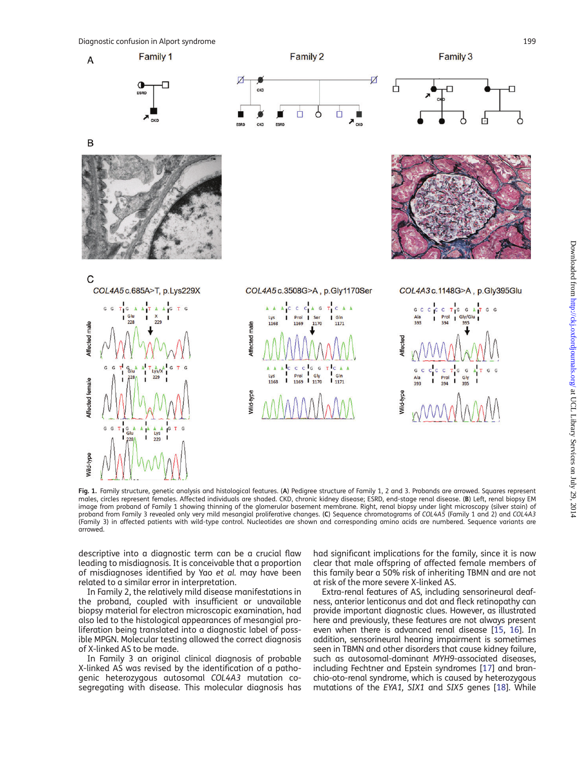

<span id="page-2-0"></span> $\overline{A}$ 

B





Family 2



Family 3





COL4A5 c.3508G>A, p.Gly1170Ser





Fig. 1. Family structure, genetic analysis and histological features. (A) Pedigree structure of Family 1, 2 and 3. Probands are arrowed. Squares represent males, circles represent females. Affected individuals are shaded. CKD, chronic kidney disease; ESRD, end-stage renal disease. (B) Left, renal biopsy EM image from proband of Family 1 showing thinning of the glomerular basement membrane. Right, renal biopsy under light microscopy (silver stain) of proband from Family 3 revealed only very mild mesangial proliferative changes. (C) Sequence chromatograms of COL4A5 (Family 1 and 2) and COL4A3 (Family 3) in affected patients with wild-type control. Nucleotides are shown and corresponding amino acids are numbered. Sequence variants are arrowed.

descriptive into a diagnostic term can be a crucial flaw leading to misdiagnosis. It is conceivable that a proportion of misdiagnoses identified by Yao et al. may have been related to a similar error in interpretation.

In Family 2, the relatively mild disease manifestations in the proband, coupled with insufficient or unavailable biopsy material for electron microscopic examination, had also led to the histological appearances of mesangial proliferation being translated into a diagnostic label of possible MPGN. Molecular testing allowed the correct diagnosis of X-linked AS to be made.

In Family 3 an original clinical diagnosis of probable X-linked AS was revised by the identification of a pathogenic heterozygous autosomal COL4A3 mutation cosegregating with disease. This molecular diagnosis has

had significant implications for the family, since it is now clear that male offspring of affected female members of this family bear a 50% risk of inheriting TBMN and are not at risk of the more severe X-linked AS.

Extra-renal features of AS, including sensorineural deafness, anterior lenticonus and dot and fleck retinopathy can provide important diagnostic clues. However, as illustrated here and previously, these features are not always present even when there is advanced renal disease [\[15](#page-3-0), [16\]](#page-3-0). In addition, sensorineural hearing impairment is sometimes seen in TBMN and other disorders that cause kidney failure, such as autosomal-dominant MYH9-associated diseases, including Fechtner and Epstein syndromes [\[17](#page-3-0)] and branchio-oto-renal syndrome, which is caused by heterozygous mutations of the EYA1, SIX1 and SIX5 genes [\[18\]](#page-3-0). While